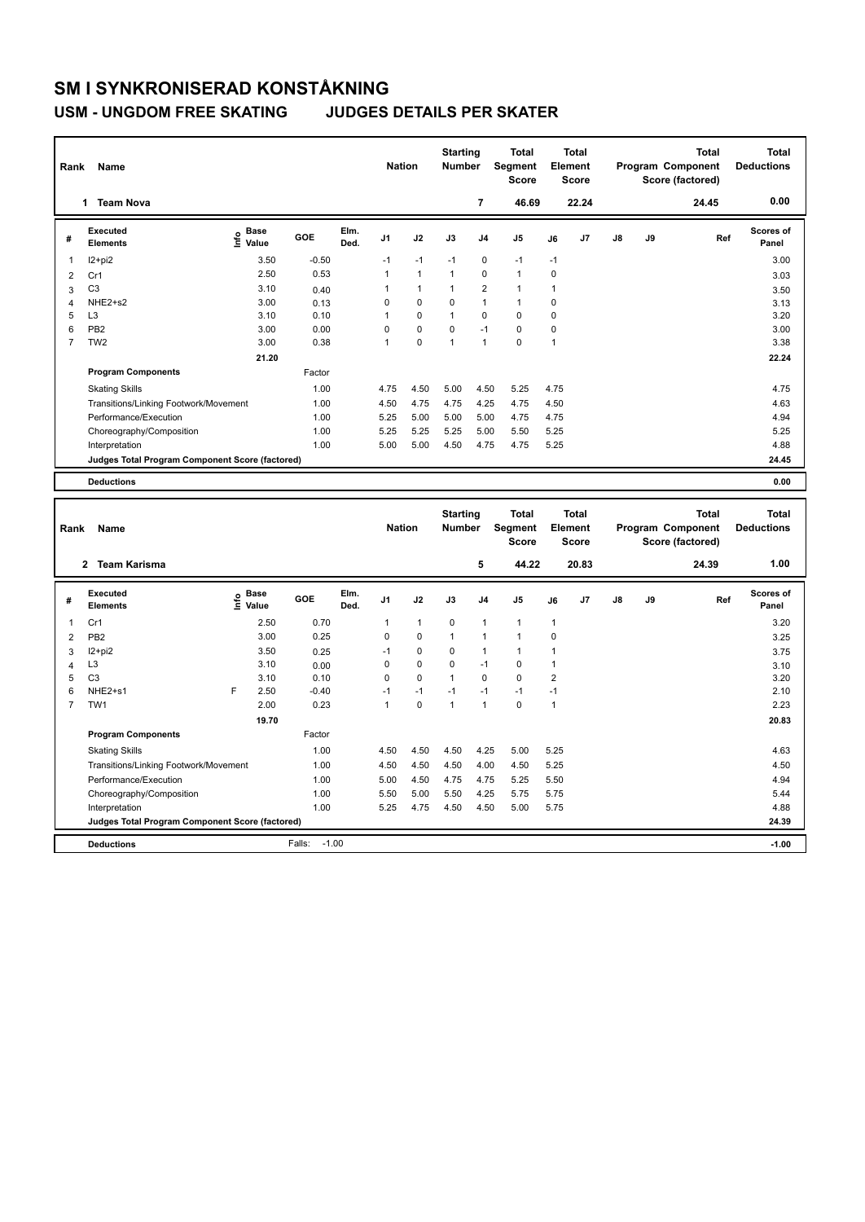**Program Components** 

### **USM - UNGDOM FREE SKATING JUDGES DETAILS PER SKATER**

| Rank                    | Name                                            |                                  |         |              | <b>Nation</b>  |              | <b>Starting</b><br><b>Number</b> |                | <b>Total</b><br>Segment<br><b>Score</b>        |                                         | <b>Total</b><br>Element<br><b>Score</b> |            |    | <b>Total</b><br>Program Component<br>Score (factored) | <b>Total</b><br><b>Deductions</b> |
|-------------------------|-------------------------------------------------|----------------------------------|---------|--------------|----------------|--------------|----------------------------------|----------------|------------------------------------------------|-----------------------------------------|-----------------------------------------|------------|----|-------------------------------------------------------|-----------------------------------|
|                         | 1 Team Nova                                     |                                  |         |              |                |              |                                  | $\overline{7}$ | 46.69                                          |                                         | 22.24                                   |            |    | 24.45                                                 | 0.00                              |
| #                       | <b>Executed</b><br><b>Elements</b>              | <b>Base</b><br>e Base<br>⊆ Value | GOE     | Elm.<br>Ded. | J1             | J2           | J3                               | J <sub>4</sub> | J <sub>5</sub>                                 | J6                                      | J7                                      | ${\sf J8}$ | J9 | Ref                                                   | Scores of<br>Panel                |
| $\mathbf 1$             | $12+pi2$                                        | 3.50                             | $-0.50$ |              | $-1$           | $-1$         | $-1$                             | $\mathbf 0$    | $-1$                                           | $-1$                                    |                                         |            |    |                                                       | 3.00                              |
| $\overline{2}$          | Cr1                                             | 2.50                             | 0.53    |              | $\mathbf{1}$   | $\mathbf{1}$ | $\mathbf{1}$                     | $\mathbf 0$    | $\overline{1}$                                 | $\mathbf 0$                             |                                         |            |    |                                                       | 3.03                              |
| 3                       | C <sub>3</sub>                                  | 3.10                             | 0.40    |              | 1              | 1            | $\mathbf{1}$                     | $\overline{2}$ | $\mathbf{1}$                                   | 1                                       |                                         |            |    |                                                       | 3.50                              |
| $\overline{4}$          | NHE2+s2                                         | 3.00                             | 0.13    |              | $\mathbf 0$    | 0            | 0                                | $\overline{1}$ | $\overline{1}$                                 | $\mathbf 0$                             |                                         |            |    |                                                       | 3.13                              |
| 5                       | L <sub>3</sub>                                  | 3.10                             | 0.10    |              | $\mathbf{1}$   | 0            | $\mathbf{1}$                     | $\mathbf 0$    | $\mathbf 0$                                    | $\mathbf 0$                             |                                         |            |    |                                                       | 3.20                              |
| 6                       | PB <sub>2</sub>                                 | 3.00                             | 0.00    |              | $\mathbf 0$    | 0            | 0                                | $-1$           | $\mathbf 0$                                    | $\mathbf 0$                             |                                         |            |    |                                                       | 3.00                              |
| $\overline{7}$          | TW <sub>2</sub>                                 | 3.00                             | 0.38    |              | 1              | 0            | 1                                | $\mathbf{1}$   | $\Omega$                                       | $\mathbf{1}$                            |                                         |            |    |                                                       | 3.38                              |
|                         |                                                 | 21.20                            |         |              |                |              |                                  |                |                                                |                                         |                                         |            |    |                                                       | 22.24                             |
|                         | <b>Program Components</b>                       |                                  | Factor  |              |                |              |                                  |                |                                                |                                         |                                         |            |    |                                                       |                                   |
|                         | <b>Skating Skills</b>                           |                                  | 1.00    |              | 4.75           | 4.50         | 5.00                             | 4.50           | 5.25                                           | 4.75                                    |                                         |            |    |                                                       | 4.75                              |
|                         | Transitions/Linking Footwork/Movement<br>1.00   |                                  |         |              | 4.50           | 4.75         | 4.75                             | 4.25           | 4.75                                           | 4.50                                    |                                         |            |    |                                                       | 4.63                              |
|                         | Performance/Execution                           |                                  |         |              | 5.25           | 5.00         | 5.00                             | 5.00           | 4.75                                           | 4.75                                    |                                         |            |    |                                                       | 4.94                              |
|                         | Choreography/Composition                        | 1.00<br>1.00                     |         | 5.25         | 5.25           | 5.25         | 5.00                             | 5.50           | 5.25                                           |                                         |                                         |            |    | 5.25                                                  |                                   |
|                         | Interpretation                                  |                                  | 1.00    |              | 5.00           | 5.00         | 4.50                             | 4.75           | 4.75                                           | 5.25                                    |                                         |            |    |                                                       | 4.88                              |
|                         | Judges Total Program Component Score (factored) |                                  |         |              |                |              |                                  |                |                                                |                                         |                                         |            |    |                                                       | 24.45                             |
|                         |                                                 |                                  |         |              |                |              |                                  |                |                                                |                                         |                                         |            |    |                                                       |                                   |
|                         | <b>Deductions</b>                               |                                  |         |              |                |              |                                  |                |                                                |                                         |                                         |            |    |                                                       | 0.00                              |
|                         |                                                 |                                  |         |              |                |              |                                  |                |                                                |                                         |                                         |            |    |                                                       |                                   |
|                         | Name<br>Rank                                    |                                  |         |              | <b>Nation</b>  |              | <b>Starting</b><br><b>Number</b> |                | <b>Total</b><br><b>Segment</b><br><b>Score</b> | <b>Total</b><br>Element<br><b>Score</b> |                                         |            |    | Total<br>Program Component<br>Score (factored)        | <b>Total</b><br><b>Deductions</b> |
|                         | <b>Team Karisma</b><br>$\mathbf{2}$             |                                  |         |              |                |              |                                  | 5              | 44.22                                          |                                         | 20.83                                   |            |    | 24.39                                                 | 1.00                              |
| #                       | <b>Executed</b><br><b>Elements</b>              | e Base<br>E Value                | GOE     | Elm.<br>Ded. | J <sub>1</sub> | J2           | J3                               | J <sub>4</sub> | J <sub>5</sub>                                 | J6                                      | J7                                      | J8         | J9 | Ref                                                   | Scores of<br>Panel                |
| $\overline{\mathbf{1}}$ | Cr1                                             | 2.50                             | 0.70    |              | $\mathbf{1}$   | 1            | $\mathbf 0$                      | $\mathbf{1}$   | $\mathbf{1}$                                   | $\mathbf{1}$                            |                                         |            |    |                                                       | 3.20                              |
| $\overline{2}$          | PB <sub>2</sub>                                 | 3.00                             | 0.25    |              | 0              | 0            | $\mathbf{1}$                     | $\mathbf{1}$   | $\mathbf{1}$                                   | $\mathbf 0$                             |                                         |            |    |                                                       | 3.25                              |
| 3                       | I2+pi2                                          | 3.50                             | 0.25    |              | $-1$           | 0            | 0                                | $\mathbf{1}$   | $\mathbf{1}$                                   | 1                                       |                                         |            |    |                                                       | 3.75                              |
| $\overline{4}$          | L <sub>3</sub>                                  | 3.10                             | 0.00    |              | 0              | 0            | $\Omega$                         | $-1$           | $\mathbf 0$                                    | 1                                       |                                         |            |    |                                                       | 3.10                              |
| 5                       | C <sub>3</sub>                                  | 3.10                             | 0.10    |              | $\Omega$       | $\Omega$     | $\overline{1}$                   | $\Omega$       | $\Omega$                                       | $\overline{2}$                          |                                         |            |    |                                                       | 3.20                              |

6 NHE2+s1 F 2.50 -0.40 -1 -1 -1 -1 -1 -1 2.10 7 TW1 2.00 0.23 1 0 1 1 0 1 2.23

Factor

Skating Skills 1.00 4.50 4.50 4.50 4.25 5.00 5.25 4.63

Transitions/Linking Footwork/Movement 1.00 4.50 4.50 4.50 4.00 4.50 5.25 4.50 Performance/Execution 1.00 5.00 4.50 4.75 5.25 5.50 4.94 4.94 Choreography/Composition 1.00 5.50 5.00 5.50 4.25 5.75 5.75 5.44 5.25 4.75 4.50 4.50 5.00

**Deductions** Falls: -1.00 **-1.00 Judges Total Program Component Score (factored) 24.39**

 **19.70 20.83**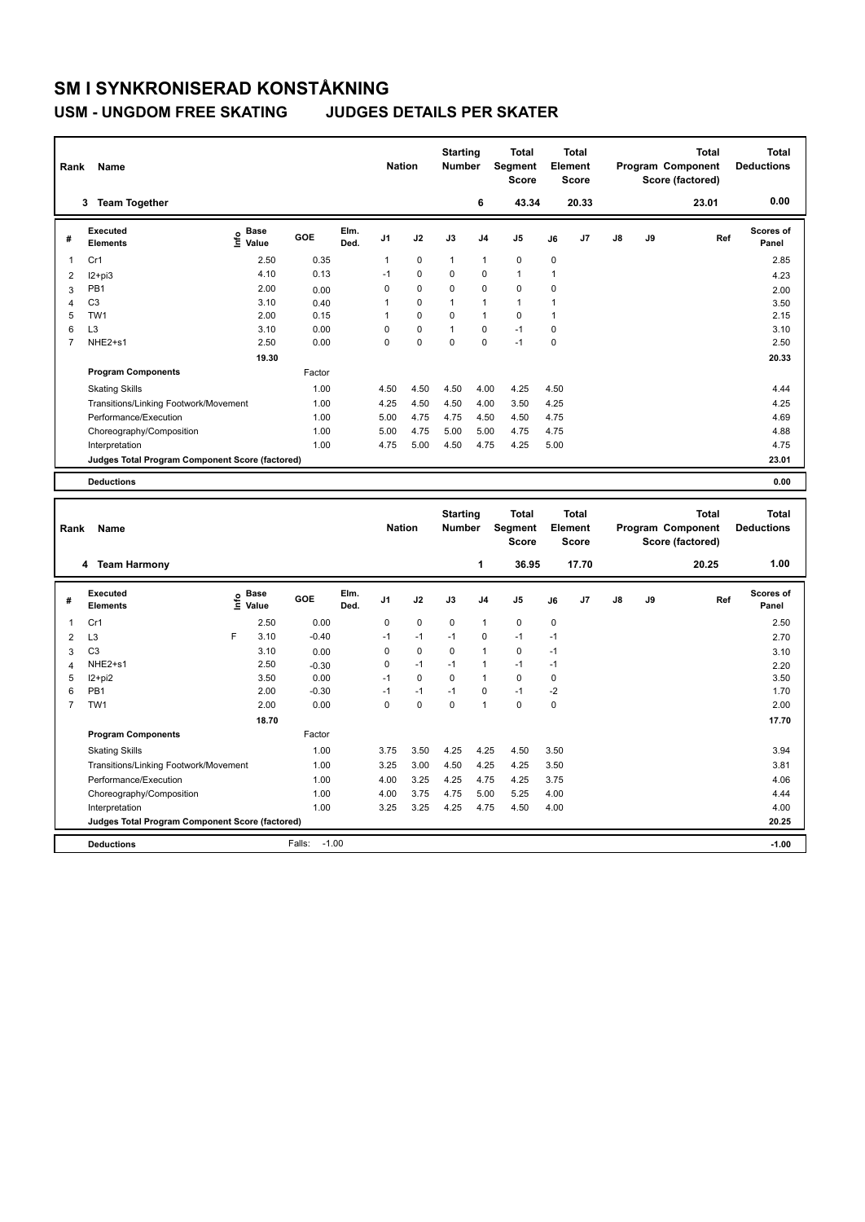### **USM - UNGDOM FREE SKATING JUDGES DETAILS PER SKATER**

| Rank<br>Name   |                                                 |      |                      |         | <b>Nation</b> |                | <b>Starting</b><br>Number |                           | Total<br>Segment<br><b>Score</b> | <b>Total</b><br>Element<br><b>Score</b> |              |                                         |                   | <b>Total</b><br>Program Component<br>Score (factored) | <b>Total</b><br><b>Deductions</b> |                                   |
|----------------|-------------------------------------------------|------|----------------------|---------|---------------|----------------|---------------------------|---------------------------|----------------------------------|-----------------------------------------|--------------|-----------------------------------------|-------------------|-------------------------------------------------------|-----------------------------------|-----------------------------------|
|                | 3 Team Together                                 |      |                      |         |               |                |                           |                           | 6                                | 43.34                                   |              | 20.33                                   |                   |                                                       | 23.01                             | 0.00                              |
| #              | <b>Executed</b><br><b>Elements</b>              |      | e Base<br>E Value    | GOE     | Elm.<br>Ded.  | J <sub>1</sub> | J2                        | J3                        | J4                               | J5                                      | J6           | J7                                      | J8                | J9                                                    | Ref                               | Scores of<br>Panel                |
| 1              | Cr1                                             |      | 2.50                 | 0.35    |               | 1              | $\pmb{0}$                 | 1                         | $\mathbf{1}$                     | $\mathbf 0$                             | $\mathbf 0$  |                                         |                   |                                                       |                                   | 2.85                              |
| 2              | $12 + pi3$                                      |      | 4.10                 | 0.13    |               | $-1$           | 0                         | 0                         | $\mathbf 0$                      | $\mathbf{1}$                            | $\mathbf{1}$ |                                         |                   |                                                       |                                   | 4.23                              |
| 3              | PB1                                             |      | 2.00                 | 0.00    |               | 0              | 0                         | 0                         | 0                                | $\mathbf 0$                             | $\mathbf 0$  |                                         |                   |                                                       |                                   | 2.00                              |
| $\overline{4}$ | C <sub>3</sub>                                  |      | 3.10                 | 0.40    |               | $\mathbf{1}$   | 0                         | 1                         | $\mathbf{1}$                     | $\mathbf{1}$                            | $\mathbf{1}$ |                                         |                   |                                                       |                                   | 3.50                              |
| 5              | TW1                                             |      | 2.00                 | 0.15    |               | 1              | 0                         | $\overline{0}$            | $\mathbf{1}$                     | $\mathbf 0$                             | $\mathbf{1}$ |                                         |                   |                                                       |                                   | 2.15                              |
| 6              | L <sub>3</sub>                                  |      | 3.10                 | 0.00    |               | $\Omega$       | 0                         | $\mathbf{1}$              | $\mathbf 0$                      | $-1$                                    | $\mathbf 0$  |                                         |                   |                                                       |                                   | 3.10                              |
| $\overline{7}$ | NHE2+s1                                         |      | 2.50                 | 0.00    |               | 0              | 0                         | 0                         | $\mathbf 0$                      | $-1$                                    | $\mathbf 0$  |                                         |                   |                                                       |                                   | 2.50                              |
|                |                                                 |      | 19.30                |         |               |                |                           |                           |                                  |                                         |              |                                         |                   |                                                       |                                   | 20.33                             |
|                | <b>Program Components</b>                       |      |                      | Factor  |               |                |                           |                           |                                  |                                         |              |                                         |                   |                                                       |                                   |                                   |
|                | <b>Skating Skills</b>                           |      |                      | 1.00    |               | 4.50           | 4.50                      | 4.50                      | 4.00                             | 4.25                                    | 4.50         |                                         |                   |                                                       |                                   | 4.44                              |
|                | Transitions/Linking Footwork/Movement           |      |                      | 1.00    |               | 4.25           | 4.50                      | 4.50                      | 4.00                             | 3.50                                    | 4.25         |                                         |                   |                                                       |                                   | 4.25                              |
|                | Performance/Execution                           |      |                      | 1.00    |               | 5.00           | 4.75                      | 4.75                      | 4.50                             | 4.50                                    | 4.75         |                                         |                   |                                                       |                                   | 4.69                              |
|                | Choreography/Composition                        |      |                      | 1.00    |               | 5.00           | 4.75                      | 5.00                      | 5.00                             | 4.75                                    | 4.75         |                                         |                   |                                                       |                                   | 4.88                              |
|                | Interpretation                                  |      |                      | 1.00    |               | 4.75           | 5.00                      | 4.50                      | 4.75                             | 4.25                                    | 5.00         |                                         |                   |                                                       |                                   | 4.75                              |
|                | Judges Total Program Component Score (factored) |      |                      |         |               |                |                           |                           |                                  |                                         |              |                                         |                   |                                                       |                                   | 23.01                             |
|                |                                                 |      |                      |         |               |                |                           |                           |                                  |                                         |              |                                         |                   |                                                       |                                   |                                   |
|                | <b>Deductions</b>                               |      |                      |         |               |                |                           |                           |                                  |                                         |              |                                         |                   |                                                       |                                   | 0.00                              |
| Rank           | Name                                            |      |                      |         |               | <b>Nation</b>  |                           | <b>Starting</b><br>Number |                                  | <b>Total</b><br>Segment<br><b>Score</b> |              | <b>Total</b><br>Element<br><b>Score</b> | Program Component |                                                       | <b>Total</b><br>Score (factored)  | <b>Total</b><br><b>Deductions</b> |
|                | 4 Team Harmony                                  |      |                      |         |               |                |                           |                           | $\mathbf{1}$                     | 36.95                                   |              | 17.70                                   |                   |                                                       | 20.25                             | 1.00                              |
| #              | <b>Executed</b><br><b>Elements</b>              | lnfo | <b>Base</b><br>Value | GOE     | Elm.<br>Ded.  | J1             | J2                        | J3                        | J4                               | J <sub>5</sub>                          | J6           | J7                                      | J8                | <b>J9</b>                                             | Ref                               | <b>Scores of</b><br>Panel         |
| $\overline{1}$ | Cr1                                             |      | 2.50                 | 0.00    |               | 0              | $\mathbf 0$               | $\mathbf 0$               | $\mathbf{1}$                     | $\mathbf 0$                             | $\mathbf 0$  |                                         |                   |                                                       |                                   | 2.50                              |
| 2              | L <sub>3</sub>                                  | F    | 3.10                 | $-0.40$ |               | $-1$           | $-1$                      | $-1$                      | $\mathbf 0$                      | $-1$                                    | $-1$         |                                         |                   |                                                       |                                   | 2.70                              |
| 3              | C <sub>3</sub>                                  |      | 3.10                 | 0.00    |               | 0              | 0                         | 0                         | $\mathbf{1}$                     | $\mathbf 0$                             | $-1$         |                                         |                   |                                                       |                                   | 3.10                              |
| $\overline{4}$ | NHE2+s1                                         |      | 2.50                 | $-0.30$ |               | 0              | $-1$                      | $-1$                      | $\mathbf{1}$                     | $-1$                                    | $-1$         |                                         |                   |                                                       |                                   | 2.20                              |
| 5              | I2+pi2                                          |      | 3.50                 | 0.00    |               | $-1$           | $\mathbf 0$               | 0                         | $\mathbf{1}$                     | $\mathbf 0$                             | $\mathbf 0$  |                                         |                   |                                                       |                                   | 3.50                              |
| 6              | PB <sub>1</sub>                                 |      | 2.00                 | $-0.30$ |               | $-1$           | $-1$                      | $-1$                      | $\mathbf 0$                      | $-1$                                    | $-2$         |                                         |                   |                                                       |                                   | 1.70                              |
| $\overline{7}$ | TW <sub>1</sub>                                 |      | 2.00                 | 0.00    |               | $\Omega$       | 0                         | $\Omega$                  | $\mathbf{1}$                     | $\Omega$                                | $\mathbf 0$  |                                         |                   |                                                       |                                   | 2.00                              |
|                |                                                 |      | 18.70                |         |               |                |                           |                           |                                  |                                         |              |                                         |                   |                                                       |                                   | 17.70                             |
|                | <b>Program Components</b>                       |      |                      | Factor  |               |                |                           |                           |                                  |                                         |              |                                         |                   |                                                       |                                   |                                   |
|                | <b>Skating Skills</b>                           |      |                      | 1.00    |               | 3.75           | 3.50                      | 4.25                      | 4.25                             | 4.50                                    | 3.50         |                                         |                   |                                                       |                                   | 3.94                              |
|                | Transitions/Linking Footwork/Movement           | 1.00 |                      | 3.25    | 3.00          | 4.50           | 4.25                      | 4.25                      | 3.50                             |                                         |              |                                         |                   | 3.81                                                  |                                   |                                   |

Performance/Execution 1.00 4.00 3.25 4.25 4.75 4.25 3.75 4.06 Choreography/Composition 1.00 4.00 3.75 4.75 5.00 5.25 4.00 4.44<br>
Interpretation 1.00 3.25 3.25 4.25 4.75 4.50 4.00 4.00 4.00  $3.25$   $3.25$   $4.25$   $4.75$   $4.50$ 

**Deductions** Falls: -1.00 **-1.00 Judges Total Program Component Score (factored) 20.25**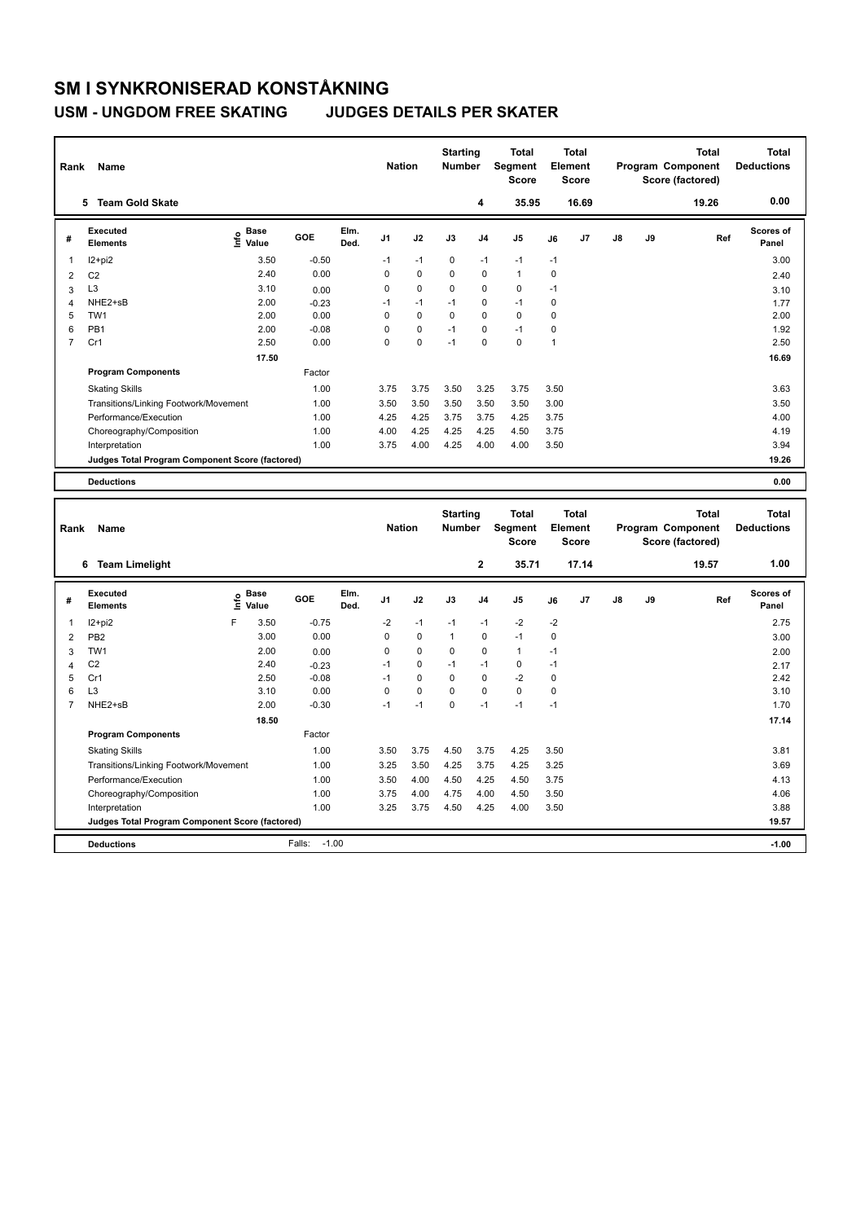### **USM - UNGDOM FREE SKATING JUDGES DETAILS PER SKATER**

| Name<br>Rank   |                                                 |                                  |         |               |                | <b>Nation</b>                    |             | <b>Starting</b><br><b>Number</b>        | <b>Total</b><br>Segment<br><b>Score</b> | <b>Total</b><br>Element<br><b>Score</b>        |       |    |                                                       | <b>Total</b><br>Program Component<br>Score (factored) | <b>Total</b><br><b>Deductions</b> |
|----------------|-------------------------------------------------|----------------------------------|---------|---------------|----------------|----------------------------------|-------------|-----------------------------------------|-----------------------------------------|------------------------------------------------|-------|----|-------------------------------------------------------|-------------------------------------------------------|-----------------------------------|
|                | 5 Team Gold Skate                               |                                  |         |               |                |                                  |             | 4                                       | 35.95                                   |                                                | 16.69 |    |                                                       | 19.26                                                 | 0.00                              |
| #              | <b>Executed</b><br><b>Elements</b>              | <b>Base</b><br>e Base<br>⊆ Value | GOE     | Elm.<br>Ded.  | J <sub>1</sub> | J2                               | J3          | J <sub>4</sub>                          | J5                                      | J6                                             | J7    | J8 | J9                                                    | Ref                                                   | Scores of<br>Panel                |
| 1              | $12 + pi2$                                      | 3.50                             | $-0.50$ |               | $-1$           | $-1$                             | 0           | $-1$                                    | $-1$                                    | $-1$                                           |       |    |                                                       |                                                       | 3.00                              |
| $\overline{2}$ | C <sub>2</sub>                                  | 2.40                             | 0.00    |               | 0              | $\mathbf 0$                      | 0           | $\mathbf 0$                             | $\overline{1}$                          | $\mathbf 0$                                    |       |    |                                                       |                                                       | 2.40                              |
| 3              | L <sub>3</sub>                                  | 3.10                             | 0.00    |               | 0              | 0                                | 0           | $\mathbf 0$                             | 0                                       | $-1$                                           |       |    |                                                       |                                                       | 3.10                              |
| $\overline{4}$ | NHE2+sB                                         | 2.00                             | $-0.23$ |               | $-1$           | $-1$                             | $-1$        | $\mathbf 0$                             | $-1$                                    | $\mathbf 0$                                    |       |    |                                                       |                                                       | 1.77                              |
| 5              | TW <sub>1</sub>                                 | 2.00                             | 0.00    |               | 0              | $\Omega$                         | $\mathbf 0$ | $\mathbf 0$                             | $\mathbf 0$                             | $\mathbf 0$                                    |       |    |                                                       |                                                       | 2.00                              |
| 6              | PB <sub>1</sub>                                 | 2.00                             | $-0.08$ |               | 0              | 0                                | $-1$        | $\mathbf 0$                             | $-1$                                    | $\mathsf 0$                                    |       |    |                                                       |                                                       | 1.92                              |
| $\overline{7}$ | Cr1                                             | 2.50                             | 0.00    |               | 0              | 0                                | $-1$        | $\mathbf 0$                             | $\mathbf 0$                             | $\mathbf{1}$                                   |       |    |                                                       |                                                       | 2.50                              |
|                |                                                 | 17.50                            |         |               |                |                                  |             |                                         |                                         |                                                |       |    |                                                       |                                                       | 16.69                             |
|                | <b>Program Components</b>                       |                                  | Factor  |               |                |                                  |             |                                         |                                         |                                                |       |    |                                                       |                                                       |                                   |
|                | <b>Skating Skills</b>                           |                                  | 1.00    |               | 3.75           | 3.75                             | 3.50        | 3.25                                    | 3.75                                    | 3.50                                           |       |    |                                                       |                                                       | 3.63                              |
|                | Transitions/Linking Footwork/Movement           |                                  |         |               | 3.50           | 3.50                             | 3.50        | 3.50                                    | 3.50                                    | 3.00                                           |       |    |                                                       |                                                       | 3.50                              |
|                | 1.00<br>Performance/Execution                   |                                  |         |               | 4.25           | 4.25                             | 3.75        | 3.75                                    | 4.25                                    | 3.75                                           |       |    |                                                       |                                                       | 4.00                              |
|                | Choreography/Composition                        |                                  | 1.00    |               | 4.00           | 4.25                             | 4.25        | 4.25                                    | 4.50                                    | 3.75                                           |       |    |                                                       |                                                       | 4.19                              |
|                | Interpretation                                  |                                  | 1.00    |               | 3.75           | 4.00                             | 4.25        | 4.00                                    | 4.00                                    | 3.50                                           |       |    |                                                       |                                                       | 3.94                              |
|                | Judges Total Program Component Score (factored) |                                  |         |               |                |                                  |             |                                         |                                         |                                                |       |    |                                                       |                                                       | 19.26                             |
|                | <b>Deductions</b>                               |                                  |         |               |                |                                  |             |                                         |                                         |                                                |       |    |                                                       |                                                       | 0.00                              |
|                |                                                 |                                  |         |               |                |                                  |             |                                         |                                         |                                                |       |    |                                                       |                                                       |                                   |
| Name<br>Rank   |                                                 |                                  |         | <b>Nation</b> |                | <b>Starting</b><br><b>Number</b> |             | <b>Total</b><br>Segment<br><b>Score</b> |                                         | <b>Total</b><br><b>Element</b><br><b>Score</b> |       |    | <b>Total</b><br>Program Component<br>Score (factored) | <b>Total</b><br><b>Deductions</b>                     |                                   |
|                | 6 Team Limelight                                |                                  |         |               |                |                                  |             | 2                                       | 35.71                                   |                                                | 17.14 |    |                                                       | 19.57                                                 | 1.00                              |
| #              | <b>Executed</b><br><b>Elements</b>              | e Base<br>E Value<br>Value       | GOE     | Elm.<br>Ded.  | J1             | J2                               | J3          | J4                                      | J5                                      | J6                                             | J7    | J8 | J9                                                    | Ref                                                   | Scores of<br>Panel                |
| 1              | $12+pi2$                                        | 3.50<br>F                        | $-0.75$ |               | $-2$           | $-1$                             | $-1$        | $-1$                                    | $-2$                                    | $-2$                                           |       |    |                                                       |                                                       | 2.75                              |
| $\overline{2}$ | PB <sub>2</sub>                                 | 3.00                             | 0.00    |               | 0              | 0                                | 1           | $\mathbf 0$                             | $-1$                                    | 0                                              |       |    |                                                       |                                                       | 3.00                              |
| 3              | TW1                                             | 2.00                             | 0.00    |               | 0              | $\Omega$                         | 0           | $\mathbf 0$                             | $\mathbf{1}$                            | $-1$                                           |       |    |                                                       |                                                       | 2.00                              |
| $\overline{4}$ | C <sub>2</sub>                                  | 2.40                             | $-0.23$ |               | $-1$           | 0                                | $-1$        | $-1$                                    | $\mathbf 0$                             | $-1$                                           |       |    |                                                       |                                                       | 2.17                              |
| 5              | Cr1                                             | 2.50                             | $-0.08$ |               | $-1$           | 0                                | 0           | $\pmb{0}$                               | $-2$                                    | 0                                              |       |    |                                                       |                                                       | 2.42                              |
| 6              | L <sub>3</sub>                                  | 3.10                             | 0.00    |               | 0              | 0                                | 0           | $\mathbf 0$                             | $\mathbf 0$                             | $\mathsf 0$                                    |       |    |                                                       |                                                       | 3.10                              |
| $\overline{7}$ | NHE2+sB                                         | 2.00                             | $-0.30$ |               | $-1$           | $-1$                             | 0           | $-1$                                    | $-1$                                    | $-1$                                           |       |    |                                                       |                                                       | 1.70                              |
|                |                                                 | 18.50                            |         |               |                |                                  |             |                                         |                                         |                                                |       |    |                                                       |                                                       | 17.14                             |
|                | <b>Program Components</b>                       |                                  | Factor  |               |                |                                  |             |                                         |                                         |                                                |       |    |                                                       |                                                       |                                   |

Skating Skills 3.50 3.75 4.50 3.75 4.25 3.50 1.00 3.81

Transitions/Linking Footwork/Movement 1.00 3.25 3.50 4.25 3.75 4.25 3.25 3.69 Performance/Execution 1.00 3.50 4.00 4.50 4.25 4.50 3.75 4.13 Choreography/Composition 1.00 3.75 4.00 4.75 4.00 4.50 3.50 4.06

**Deductions** Falls: -1.00 **-1.00 Judges Total Program Component Score (factored) 19.57**

3.25 3.75 4.50 4.25 4.00 3.50